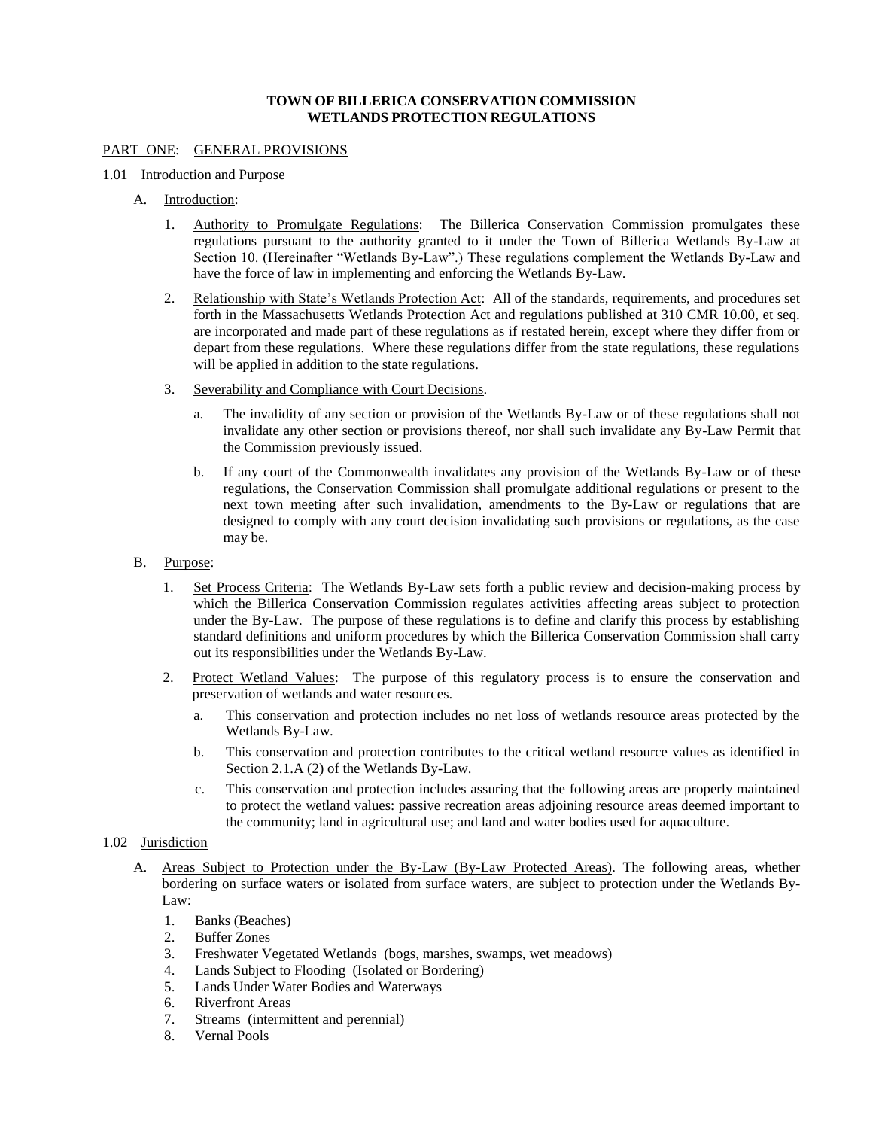# **TOWN OF BILLERICA CONSERVATION COMMISSION WETLANDS PROTECTION REGULATIONS**

# PART ONE: GENERAL PROVISIONS

## 1.01 Introduction and Purpose

- A. Introduction:
	- 1. Authority to Promulgate Regulations: The Billerica Conservation Commission promulgates these regulations pursuant to the authority granted to it under the Town of Billerica Wetlands By-Law at Section 10. (Hereinafter "Wetlands By-Law".) These regulations complement the Wetlands By-Law and have the force of law in implementing and enforcing the Wetlands By-Law.
	- 2. Relationship with State's Wetlands Protection Act: All of the standards, requirements, and procedures set forth in the Massachusetts Wetlands Protection Act and regulations published at 310 CMR 10.00, et seq. are incorporated and made part of these regulations as if restated herein, except where they differ from or depart from these regulations. Where these regulations differ from the state regulations, these regulations will be applied in addition to the state regulations.
	- 3. Severability and Compliance with Court Decisions.
		- a. The invalidity of any section or provision of the Wetlands By-Law or of these regulations shall not invalidate any other section or provisions thereof, nor shall such invalidate any By-Law Permit that the Commission previously issued.
		- b. If any court of the Commonwealth invalidates any provision of the Wetlands By-Law or of these regulations, the Conservation Commission shall promulgate additional regulations or present to the next town meeting after such invalidation, amendments to the By-Law or regulations that are designed to comply with any court decision invalidating such provisions or regulations, as the case may be.
- B. Purpose:
	- 1. Set Process Criteria: The Wetlands By-Law sets forth a public review and decision-making process by which the Billerica Conservation Commission regulates activities affecting areas subject to protection under the By-Law. The purpose of these regulations is to define and clarify this process by establishing standard definitions and uniform procedures by which the Billerica Conservation Commission shall carry out its responsibilities under the Wetlands By-Law.
	- 2. Protect Wetland Values: The purpose of this regulatory process is to ensure the conservation and preservation of wetlands and water resources.
		- a. This conservation and protection includes no net loss of wetlands resource areas protected by the Wetlands By-Law.
		- b. This conservation and protection contributes to the critical wetland resource values as identified in Section 2.1.A (2) of the Wetlands By-Law.
		- c. This conservation and protection includes assuring that the following areas are properly maintained to protect the wetland values: passive recreation areas adjoining resource areas deemed important to the community; land in agricultural use; and land and water bodies used for aquaculture.

## 1.02 Jurisdiction

- A. Areas Subject to Protection under the By-Law (By-Law Protected Areas). The following areas, whether bordering on surface waters or isolated from surface waters, are subject to protection under the Wetlands By-Law:
	- 1. Banks (Beaches)
	- 2. Buffer Zones
	- 3. Freshwater Vegetated Wetlands (bogs, marshes, swamps, wet meadows)
	- 4. Lands Subject to Flooding (Isolated or Bordering)
	- 5. Lands Under Water Bodies and Waterways
	- 6. Riverfront Areas
	- 7. Streams (intermittent and perennial)
	- 8. Vernal Pools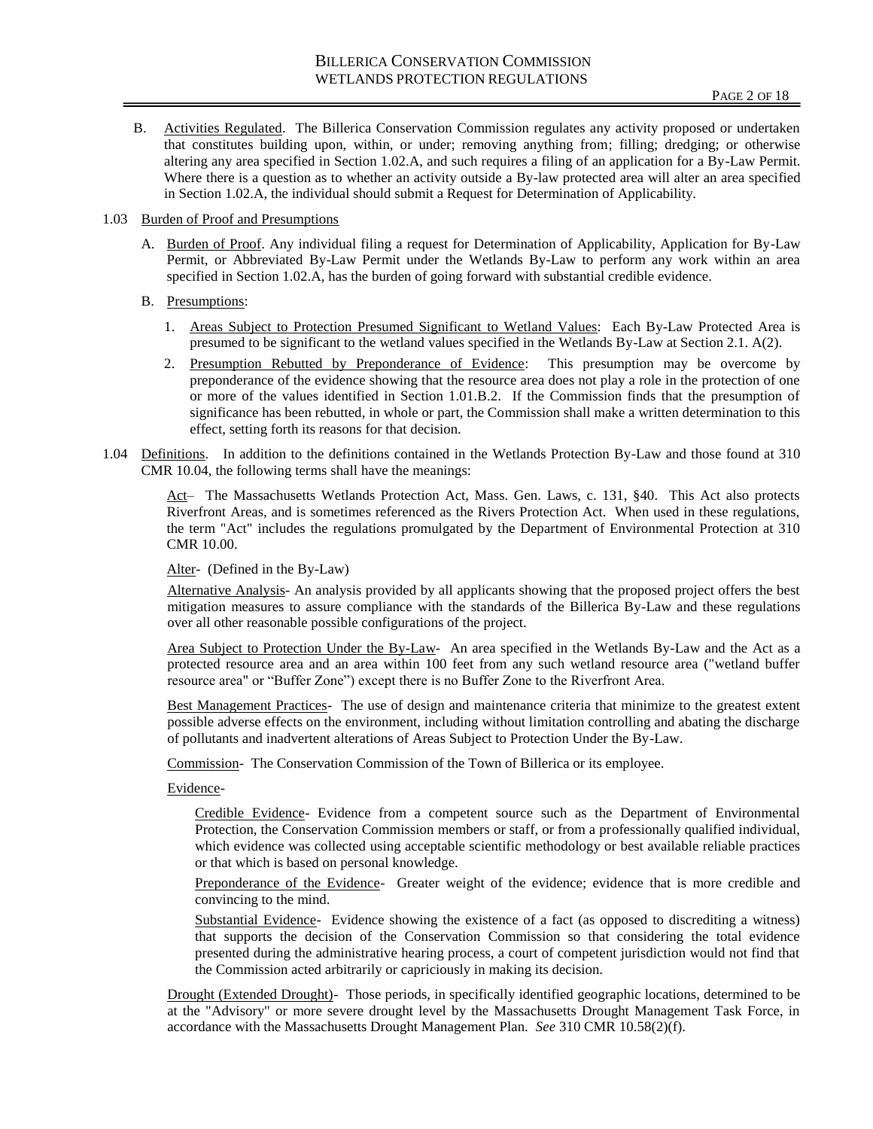- B. Activities Regulated. The Billerica Conservation Commission regulates any activity proposed or undertaken that constitutes building upon, within, or under; removing anything from; filling; dredging; or otherwise altering any area specified in Section 1.02.A, and such requires a filing of an application for a By-Law Permit. Where there is a question as to whether an activity outside a By-law protected area will alter an area specified in Section 1.02.A, the individual should submit a Request for Determination of Applicability.
- 1.03 Burden of Proof and Presumptions
	- A. Burden of Proof. Any individual filing a request for Determination of Applicability, Application for By-Law Permit, or Abbreviated By-Law Permit under the Wetlands By-Law to perform any work within an area specified in Section 1.02.A, has the burden of going forward with substantial credible evidence.
	- B. Presumptions:
		- 1. Areas Subject to Protection Presumed Significant to Wetland Values: Each By-Law Protected Area is presumed to be significant to the wetland values specified in the Wetlands By-Law at Section 2.1. A(2).
		- 2. Presumption Rebutted by Preponderance of Evidence: This presumption may be overcome by preponderance of the evidence showing that the resource area does not play a role in the protection of one or more of the values identified in Section 1.01.B.2. If the Commission finds that the presumption of significance has been rebutted, in whole or part, the Commission shall make a written determination to this effect, setting forth its reasons for that decision.
- 1.04 Definitions. In addition to the definitions contained in the Wetlands Protection By-Law and those found at 310 CMR 10.04, the following terms shall have the meanings:

Act– The Massachusetts Wetlands Protection Act, Mass. Gen. Laws, c. 131, §40. This Act also protects Riverfront Areas, and is sometimes referenced as the Rivers Protection Act. When used in these regulations, the term "Act" includes the regulations promulgated by the Department of Environmental Protection at 310 CMR 10.00.

Alter- (Defined in the By-Law)

Alternative Analysis- An analysis provided by all applicants showing that the proposed project offers the best mitigation measures to assure compliance with the standards of the Billerica By-Law and these regulations over all other reasonable possible configurations of the project.

Area Subject to Protection Under the By-Law- An area specified in the Wetlands By-Law and the Act as a protected resource area and an area within 100 feet from any such wetland resource area ("wetland buffer resource area" or "Buffer Zone") except there is no Buffer Zone to the Riverfront Area.

Best Management Practices- The use of design and maintenance criteria that minimize to the greatest extent possible adverse effects on the environment, including without limitation controlling and abating the discharge of pollutants and inadvertent alterations of Areas Subject to Protection Under the By-Law.

Commission- The Conservation Commission of the Town of Billerica or its employee.

Evidence-

Credible Evidence- Evidence from a competent source such as the Department of Environmental Protection, the Conservation Commission members or staff, or from a professionally qualified individual, which evidence was collected using acceptable scientific methodology or best available reliable practices or that which is based on personal knowledge.

Preponderance of the Evidence- Greater weight of the evidence; evidence that is more credible and convincing to the mind.

Substantial Evidence- Evidence showing the existence of a fact (as opposed to discrediting a witness) that supports the decision of the Conservation Commission so that considering the total evidence presented during the administrative hearing process, a court of competent jurisdiction would not find that the Commission acted arbitrarily or capriciously in making its decision.

Drought (Extended Drought)- Those periods, in specifically identified geographic locations, determined to be at the "Advisory" or more severe drought level by the Massachusetts Drought Management Task Force, in accordance with the Massachusetts Drought Management Plan. *See* 310 CMR 10.58(2)(f).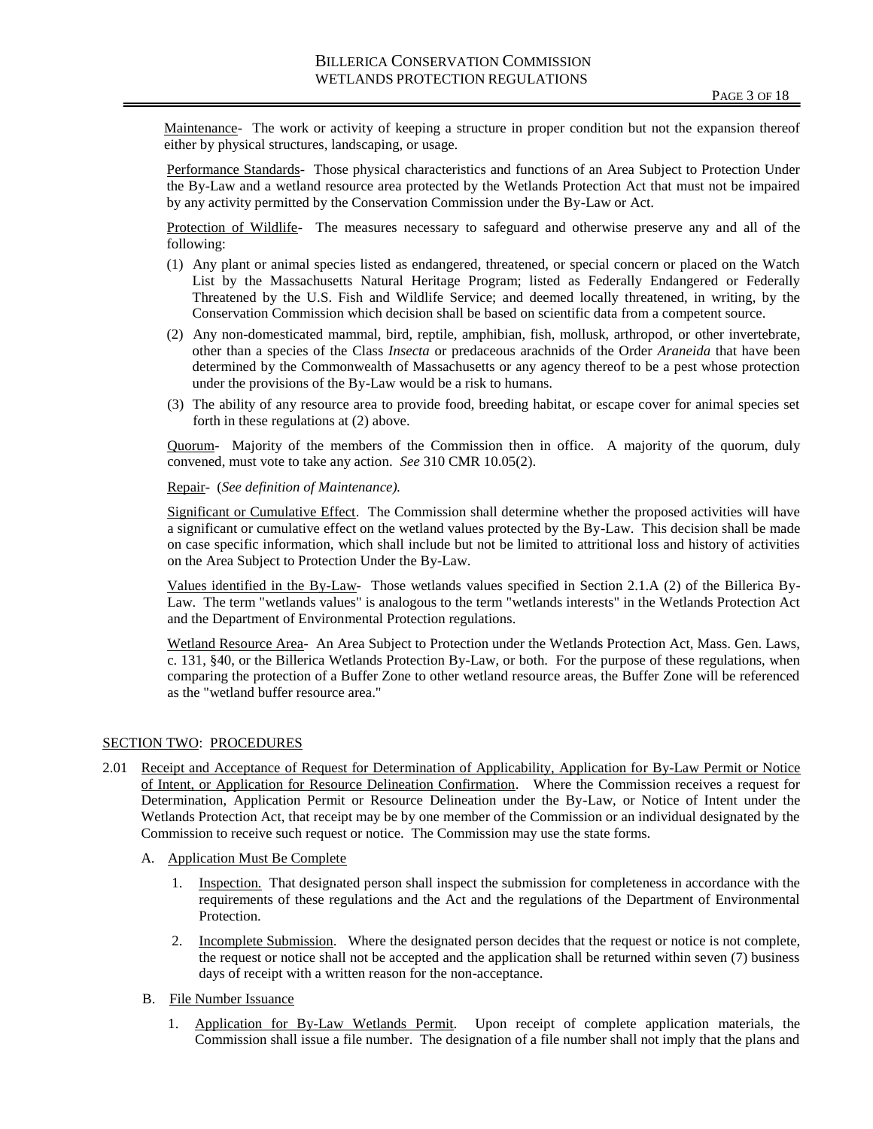Maintenance- The work or activity of keeping a structure in proper condition but not the expansion thereof either by physical structures, landscaping, or usage.

Performance Standards- Those physical characteristics and functions of an Area Subject to Protection Under the By-Law and a wetland resource area protected by the Wetlands Protection Act that must not be impaired by any activity permitted by the Conservation Commission under the By-Law or Act.

Protection of Wildlife- The measures necessary to safeguard and otherwise preserve any and all of the following:

- (1) Any plant or animal species listed as endangered, threatened, or special concern or placed on the Watch List by the Massachusetts Natural Heritage Program; listed as Federally Endangered or Federally Threatened by the U.S. Fish and Wildlife Service; and deemed locally threatened, in writing, by the Conservation Commission which decision shall be based on scientific data from a competent source.
- (2) Any non-domesticated mammal, bird, reptile, amphibian, fish, mollusk, arthropod, or other invertebrate, other than a species of the Class *Insecta* or predaceous arachnids of the Order *Araneida* that have been determined by the Commonwealth of Massachusetts or any agency thereof to be a pest whose protection under the provisions of the By-Law would be a risk to humans.
- (3) The ability of any resource area to provide food, breeding habitat, or escape cover for animal species set forth in these regulations at (2) above.

Quorum- Majority of the members of the Commission then in office. A majority of the quorum, duly convened, must vote to take any action. *See* 310 CMR 10.05(2).

Repair- (*See definition of Maintenance).*

Significant or Cumulative Effect. The Commission shall determine whether the proposed activities will have a significant or cumulative effect on the wetland values protected by the By-Law. This decision shall be made on case specific information, which shall include but not be limited to attritional loss and history of activities on the Area Subject to Protection Under the By-Law.

Values identified in the By-Law- Those wetlands values specified in Section 2.1.A (2) of the Billerica By-Law. The term "wetlands values" is analogous to the term "wetlands interests" in the Wetlands Protection Act and the Department of Environmental Protection regulations.

Wetland Resource Area- An Area Subject to Protection under the Wetlands Protection Act, Mass. Gen. Laws, c. 131, §40, or the Billerica Wetlands Protection By-Law, or both. For the purpose of these regulations, when comparing the protection of a Buffer Zone to other wetland resource areas, the Buffer Zone will be referenced as the "wetland buffer resource area."

## SECTION TWO: PROCEDURES

- 2.01 Receipt and Acceptance of Request for Determination of Applicability, Application for By-Law Permit or Notice of Intent, or Application for Resource Delineation Confirmation. Where the Commission receives a request for Determination, Application Permit or Resource Delineation under the By-Law, or Notice of Intent under the Wetlands Protection Act, that receipt may be by one member of the Commission or an individual designated by the Commission to receive such request or notice. The Commission may use the state forms.
	- A. Application Must Be Complete
		- 1. Inspection. That designated person shall inspect the submission for completeness in accordance with the requirements of these regulations and the Act and the regulations of the Department of Environmental Protection.
		- 2. Incomplete Submission. Where the designated person decides that the request or notice is not complete, the request or notice shall not be accepted and the application shall be returned within seven (7) business days of receipt with a written reason for the non-acceptance.
	- B. File Number Issuance
		- 1. Application for By-Law Wetlands Permit. Upon receipt of complete application materials, the Commission shall issue a file number. The designation of a file number shall not imply that the plans and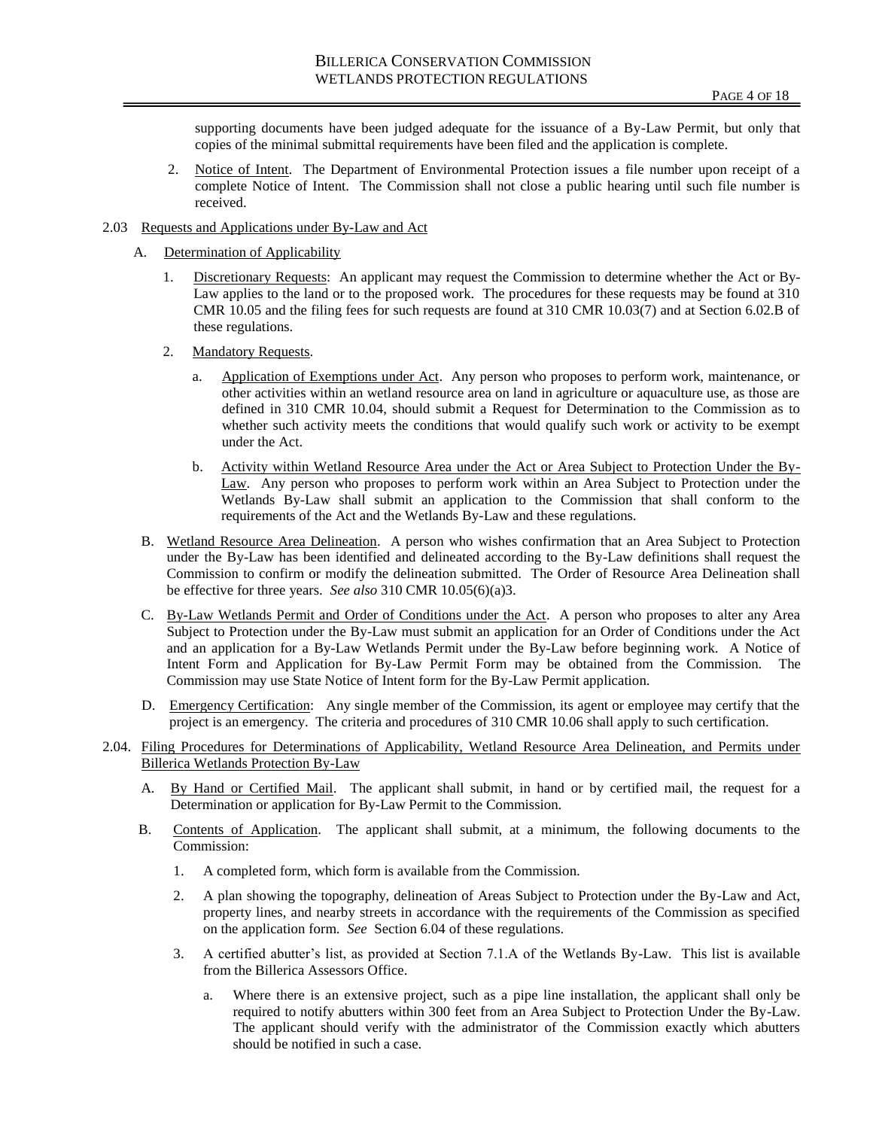supporting documents have been judged adequate for the issuance of a By-Law Permit, but only that copies of the minimal submittal requirements have been filed and the application is complete.

- 2. Notice of Intent. The Department of Environmental Protection issues a file number upon receipt of a complete Notice of Intent. The Commission shall not close a public hearing until such file number is received.
- 2.03 Requests and Applications under By-Law and Act
	- A. Determination of Applicability
		- 1. Discretionary Requests: An applicant may request the Commission to determine whether the Act or By-Law applies to the land or to the proposed work. The procedures for these requests may be found at 310 CMR 10.05 and the filing fees for such requests are found at 310 CMR 10.03(7) and at Section 6.02.B of these regulations.
		- 2. Mandatory Requests.
			- a. Application of Exemptions under Act. Any person who proposes to perform work, maintenance, or other activities within an wetland resource area on land in agriculture or aquaculture use, as those are defined in 310 CMR 10.04, should submit a Request for Determination to the Commission as to whether such activity meets the conditions that would qualify such work or activity to be exempt under the Act.
			- b. Activity within Wetland Resource Area under the Act or Area Subject to Protection Under the By-Law. Any person who proposes to perform work within an Area Subject to Protection under the Wetlands By-Law shall submit an application to the Commission that shall conform to the requirements of the Act and the Wetlands By-Law and these regulations.
	- B. Wetland Resource Area Delineation. A person who wishes confirmation that an Area Subject to Protection under the By-Law has been identified and delineated according to the By-Law definitions shall request the Commission to confirm or modify the delineation submitted. The Order of Resource Area Delineation shall be effective for three years. *See also* 310 CMR 10.05(6)(a)3.
	- C. By-Law Wetlands Permit and Order of Conditions under the Act. A person who proposes to alter any Area Subject to Protection under the By-Law must submit an application for an Order of Conditions under the Act and an application for a By-Law Wetlands Permit under the By-Law before beginning work. A Notice of Intent Form and Application for By-Law Permit Form may be obtained from the Commission. The Commission may use State Notice of Intent form for the By-Law Permit application.
	- D. Emergency Certification: Any single member of the Commission, its agent or employee may certify that the project is an emergency. The criteria and procedures of 310 CMR 10.06 shall apply to such certification.
- 2.04. Filing Procedures for Determinations of Applicability, Wetland Resource Area Delineation, and Permits under Billerica Wetlands Protection By-Law
	- A. By Hand or Certified Mail. The applicant shall submit, in hand or by certified mail, the request for a Determination or application for By-Law Permit to the Commission.
	- B. Contents of Application. The applicant shall submit, at a minimum, the following documents to the Commission:
		- 1. A completed form, which form is available from the Commission.
		- 2. A plan showing the topography, delineation of Areas Subject to Protection under the By-Law and Act, property lines, and nearby streets in accordance with the requirements of the Commission as specified on the application form. *See* Section 6.04 of these regulations.
		- 3. A certified abutter's list, as provided at Section 7.1.A of the Wetlands By-Law. This list is available from the Billerica Assessors Office.
			- a. Where there is an extensive project, such as a pipe line installation, the applicant shall only be required to notify abutters within 300 feet from an Area Subject to Protection Under the By-Law. The applicant should verify with the administrator of the Commission exactly which abutters should be notified in such a case.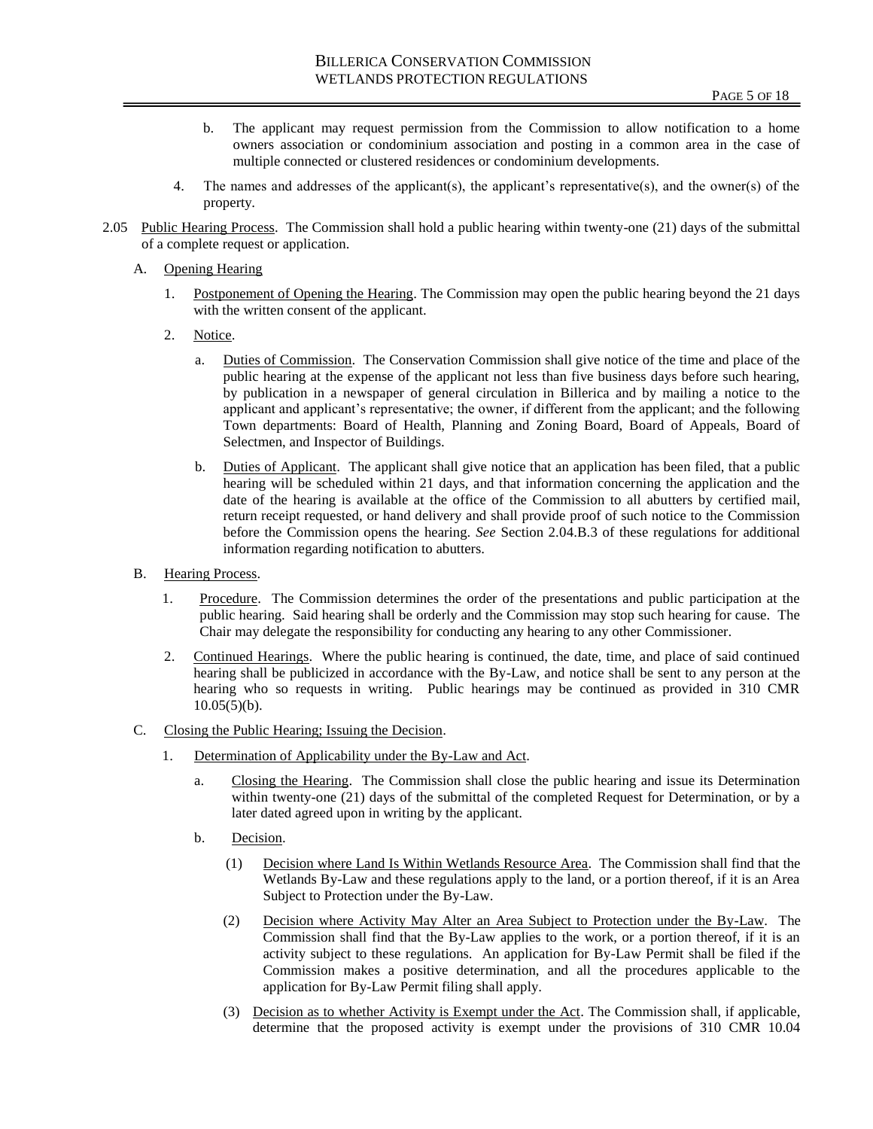- b. The applicant may request permission from the Commission to allow notification to a home owners association or condominium association and posting in a common area in the case of multiple connected or clustered residences or condominium developments.
- 4. The names and addresses of the applicant(s), the applicant's representative(s), and the owner(s) of the property.
- 2.05 Public Hearing Process. The Commission shall hold a public hearing within twenty-one (21) days of the submittal of a complete request or application.
	- A. Opening Hearing
		- 1. Postponement of Opening the Hearing. The Commission may open the public hearing beyond the 21 days with the written consent of the applicant.
		- 2. Notice.
			- a. Duties of Commission. The Conservation Commission shall give notice of the time and place of the public hearing at the expense of the applicant not less than five business days before such hearing, by publication in a newspaper of general circulation in Billerica and by mailing a notice to the applicant and applicant's representative; the owner, if different from the applicant; and the following Town departments: Board of Health, Planning and Zoning Board, Board of Appeals, Board of Selectmen, and Inspector of Buildings.
			- b. Duties of Applicant. The applicant shall give notice that an application has been filed, that a public hearing will be scheduled within 21 days, and that information concerning the application and the date of the hearing is available at the office of the Commission to all abutters by certified mail, return receipt requested, or hand delivery and shall provide proof of such notice to the Commission before the Commission opens the hearing. *See* Section 2.04.B.3 of these regulations for additional information regarding notification to abutters.
	- B. Hearing Process.
		- 1. Procedure. The Commission determines the order of the presentations and public participation at the public hearing. Said hearing shall be orderly and the Commission may stop such hearing for cause. The Chair may delegate the responsibility for conducting any hearing to any other Commissioner.
		- 2. Continued Hearings. Where the public hearing is continued, the date, time, and place of said continued hearing shall be publicized in accordance with the By-Law, and notice shall be sent to any person at the hearing who so requests in writing. Public hearings may be continued as provided in 310 CMR  $10.05(5)(b)$ .
	- C. Closing the Public Hearing; Issuing the Decision.
		- 1. Determination of Applicability under the By-Law and Act.
			- a. Closing the Hearing. The Commission shall close the public hearing and issue its Determination within twenty-one (21) days of the submittal of the completed Request for Determination, or by a later dated agreed upon in writing by the applicant.
			- b. Decision.
				- (1) Decision where Land Is Within Wetlands Resource Area. The Commission shall find that the Wetlands By-Law and these regulations apply to the land, or a portion thereof, if it is an Area Subject to Protection under the By-Law.
				- (2) Decision where Activity May Alter an Area Subject to Protection under the By-Law. The Commission shall find that the By-Law applies to the work, or a portion thereof, if it is an activity subject to these regulations. An application for By-Law Permit shall be filed if the Commission makes a positive determination, and all the procedures applicable to the application for By-Law Permit filing shall apply.
				- (3) Decision as to whether Activity is Exempt under the Act. The Commission shall, if applicable, determine that the proposed activity is exempt under the provisions of 310 CMR 10.04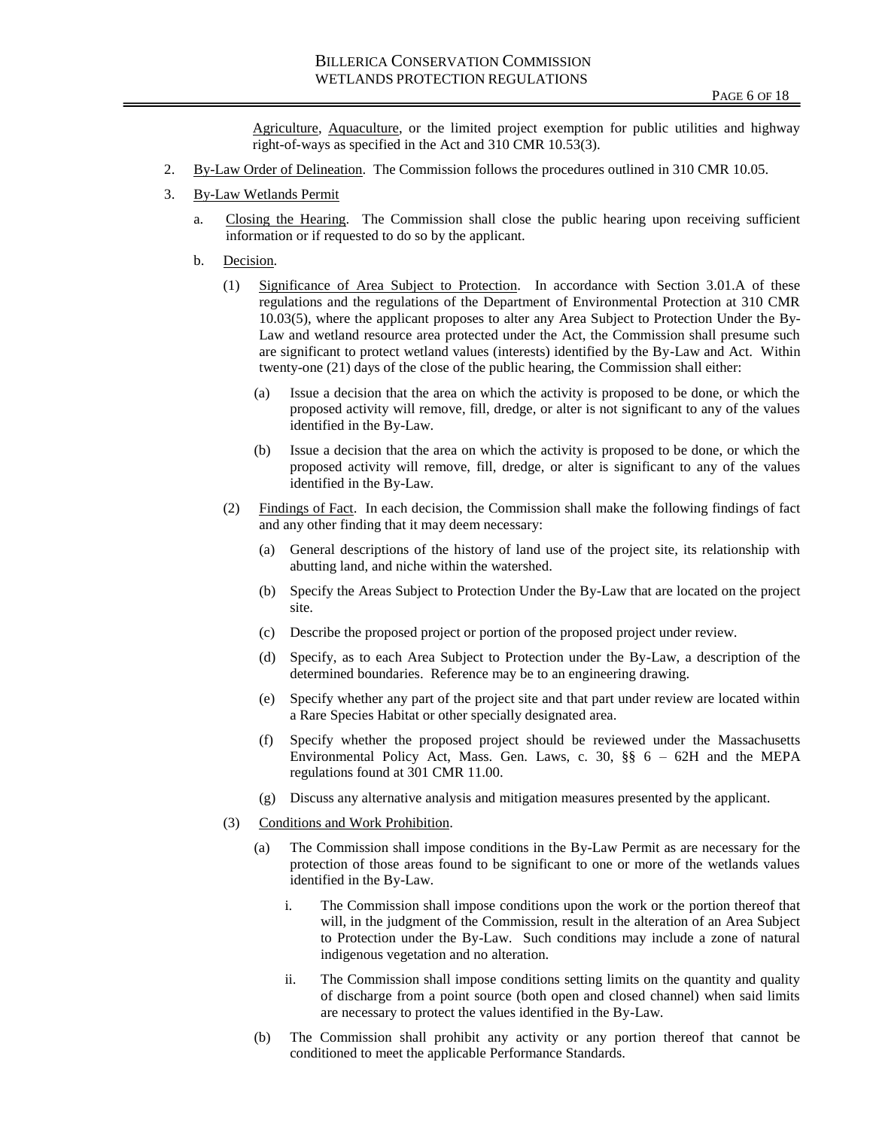Agriculture, Aquaculture, or the limited project exemption for public utilities and highway right-of-ways as specified in the Act and 310 CMR 10.53(3).

- 2. By-Law Order of Delineation. The Commission follows the procedures outlined in 310 CMR 10.05.
- 3. By-Law Wetlands Permit
	- a. Closing the Hearing. The Commission shall close the public hearing upon receiving sufficient information or if requested to do so by the applicant.
	- b. Decision.
		- (1) Significance of Area Subject to Protection. In accordance with Section 3.01.A of these regulations and the regulations of the Department of Environmental Protection at 310 CMR 10.03(5), where the applicant proposes to alter any Area Subject to Protection Under the By-Law and wetland resource area protected under the Act, the Commission shall presume such are significant to protect wetland values (interests) identified by the By-Law and Act. Within twenty-one (21) days of the close of the public hearing, the Commission shall either:
			- (a) Issue a decision that the area on which the activity is proposed to be done, or which the proposed activity will remove, fill, dredge, or alter is not significant to any of the values identified in the By-Law.
			- (b) Issue a decision that the area on which the activity is proposed to be done, or which the proposed activity will remove, fill, dredge, or alter is significant to any of the values identified in the By-Law.
		- (2) Findings of Fact. In each decision, the Commission shall make the following findings of fact and any other finding that it may deem necessary:
			- (a) General descriptions of the history of land use of the project site, its relationship with abutting land, and niche within the watershed.
			- (b) Specify the Areas Subject to Protection Under the By-Law that are located on the project site.
			- (c) Describe the proposed project or portion of the proposed project under review.
			- (d) Specify, as to each Area Subject to Protection under the By-Law, a description of the determined boundaries. Reference may be to an engineering drawing.
			- (e) Specify whether any part of the project site and that part under review are located within a Rare Species Habitat or other specially designated area.
			- (f) Specify whether the proposed project should be reviewed under the Massachusetts Environmental Policy Act, Mass. Gen. Laws, c. 30, §§ 6 – 62H and the MEPA regulations found at 301 CMR 11.00.
			- (g) Discuss any alternative analysis and mitigation measures presented by the applicant.
		- (3) Conditions and Work Prohibition.
			- (a) The Commission shall impose conditions in the By-Law Permit as are necessary for the protection of those areas found to be significant to one or more of the wetlands values identified in the By-Law.
				- i. The Commission shall impose conditions upon the work or the portion thereof that will, in the judgment of the Commission, result in the alteration of an Area Subject to Protection under the By-Law. Such conditions may include a zone of natural indigenous vegetation and no alteration.
				- ii. The Commission shall impose conditions setting limits on the quantity and quality of discharge from a point source (both open and closed channel) when said limits are necessary to protect the values identified in the By-Law.
			- (b) The Commission shall prohibit any activity or any portion thereof that cannot be conditioned to meet the applicable Performance Standards.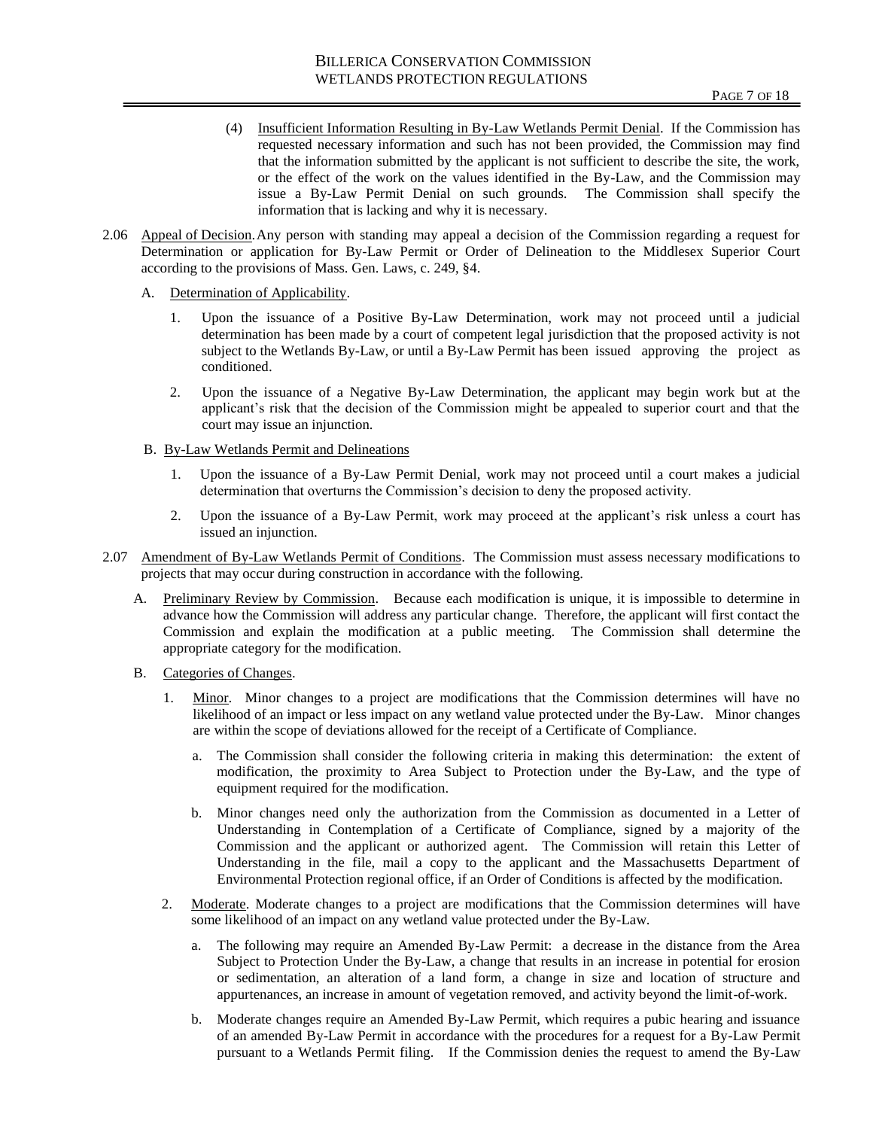- (4) Insufficient Information Resulting in By-Law Wetlands Permit Denial. If the Commission has requested necessary information and such has not been provided, the Commission may find that the information submitted by the applicant is not sufficient to describe the site, the work, or the effect of the work on the values identified in the By-Law, and the Commission may issue a By-Law Permit Denial on such grounds. The Commission shall specify the information that is lacking and why it is necessary.
- 2.06 Appeal of Decision.Any person with standing may appeal a decision of the Commission regarding a request for Determination or application for By-Law Permit or Order of Delineation to the Middlesex Superior Court according to the provisions of Mass. Gen. Laws, c. 249, §4.
	- A. Determination of Applicability.
		- 1. Upon the issuance of a Positive By-Law Determination, work may not proceed until a judicial determination has been made by a court of competent legal jurisdiction that the proposed activity is not subject to the Wetlands By-Law, or until a By-Law Permit has been issued approving the project as conditioned.
		- 2. Upon the issuance of a Negative By-Law Determination, the applicant may begin work but at the applicant's risk that the decision of the Commission might be appealed to superior court and that the court may issue an injunction.
	- B. By-Law Wetlands Permit and Delineations
		- 1. Upon the issuance of a By-Law Permit Denial, work may not proceed until a court makes a judicial determination that overturns the Commission's decision to deny the proposed activity.
		- 2. Upon the issuance of a By-Law Permit, work may proceed at the applicant's risk unless a court has issued an injunction.
- 2.07 Amendment of By-Law Wetlands Permit of Conditions. The Commission must assess necessary modifications to projects that may occur during construction in accordance with the following.
	- A. Preliminary Review by Commission. Because each modification is unique, it is impossible to determine in advance how the Commission will address any particular change. Therefore, the applicant will first contact the Commission and explain the modification at a public meeting. The Commission shall determine the appropriate category for the modification.
	- B. Categories of Changes.
		- 1. Minor. Minor changes to a project are modifications that the Commission determines will have no likelihood of an impact or less impact on any wetland value protected under the By-Law. Minor changes are within the scope of deviations allowed for the receipt of a Certificate of Compliance.
			- a. The Commission shall consider the following criteria in making this determination: the extent of modification, the proximity to Area Subject to Protection under the By-Law, and the type of equipment required for the modification.
			- b. Minor changes need only the authorization from the Commission as documented in a Letter of Understanding in Contemplation of a Certificate of Compliance, signed by a majority of the Commission and the applicant or authorized agent. The Commission will retain this Letter of Understanding in the file, mail a copy to the applicant and the Massachusetts Department of Environmental Protection regional office, if an Order of Conditions is affected by the modification.
		- 2. Moderate. Moderate changes to a project are modifications that the Commission determines will have some likelihood of an impact on any wetland value protected under the By-Law.
			- a. The following may require an Amended By-Law Permit: a decrease in the distance from the Area Subject to Protection Under the By-Law, a change that results in an increase in potential for erosion or sedimentation, an alteration of a land form, a change in size and location of structure and appurtenances, an increase in amount of vegetation removed, and activity beyond the limit-of-work.
			- b. Moderate changes require an Amended By-Law Permit, which requires a pubic hearing and issuance of an amended By-Law Permit in accordance with the procedures for a request for a By-Law Permit pursuant to a Wetlands Permit filing. If the Commission denies the request to amend the By-Law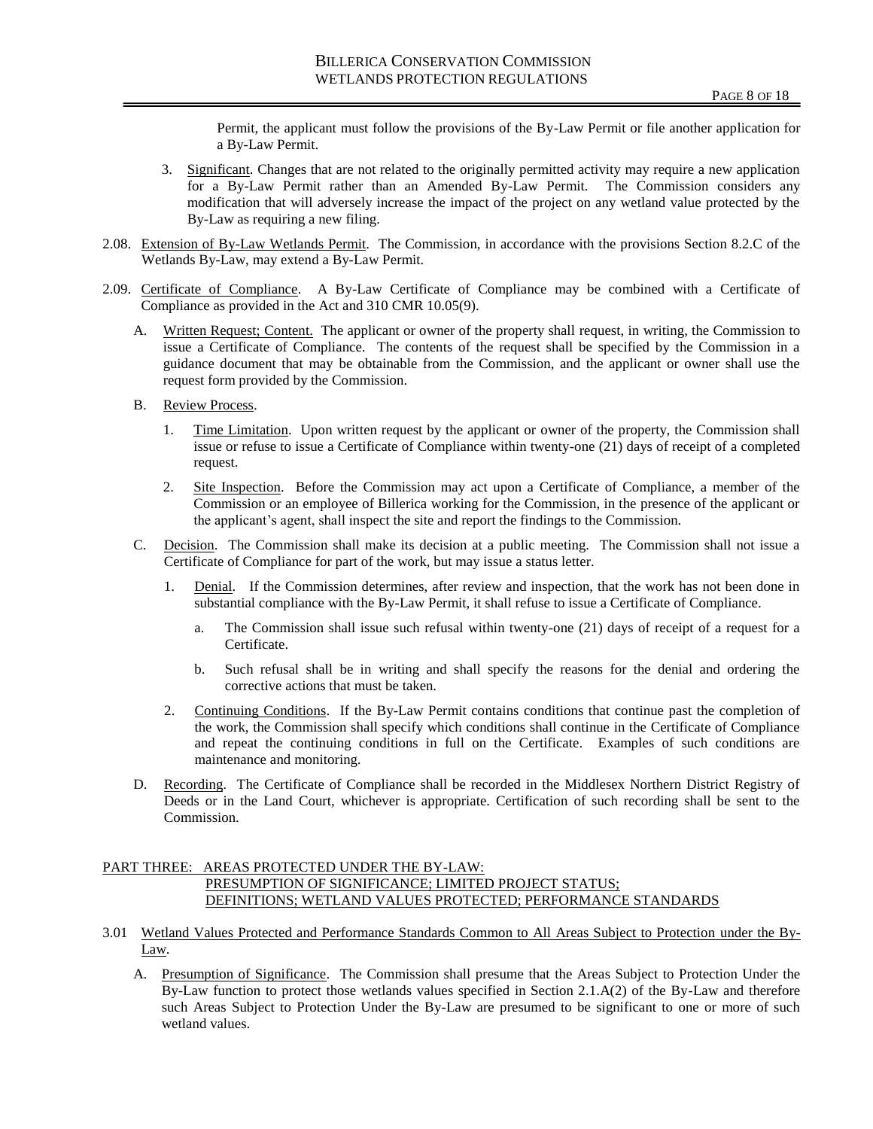Permit, the applicant must follow the provisions of the By-Law Permit or file another application for a By-Law Permit.

- 3. Significant. Changes that are not related to the originally permitted activity may require a new application for a By-Law Permit rather than an Amended By-Law Permit. The Commission considers any modification that will adversely increase the impact of the project on any wetland value protected by the By-Law as requiring a new filing.
- 2.08. Extension of By-Law Wetlands Permit. The Commission, in accordance with the provisions Section 8.2.C of the Wetlands By-Law, may extend a By-Law Permit.
- 2.09. Certificate of Compliance. A By-Law Certificate of Compliance may be combined with a Certificate of Compliance as provided in the Act and 310 CMR 10.05(9).
	- A. Written Request; Content. The applicant or owner of the property shall request, in writing, the Commission to issue a Certificate of Compliance. The contents of the request shall be specified by the Commission in a guidance document that may be obtainable from the Commission, and the applicant or owner shall use the request form provided by the Commission.
	- B. Review Process.
		- 1. Time Limitation. Upon written request by the applicant or owner of the property, the Commission shall issue or refuse to issue a Certificate of Compliance within twenty-one (21) days of receipt of a completed request.
		- 2. Site Inspection. Before the Commission may act upon a Certificate of Compliance, a member of the Commission or an employee of Billerica working for the Commission, in the presence of the applicant or the applicant's agent, shall inspect the site and report the findings to the Commission.
	- C. Decision. The Commission shall make its decision at a public meeting. The Commission shall not issue a Certificate of Compliance for part of the work, but may issue a status letter.
		- 1. Denial. If the Commission determines, after review and inspection, that the work has not been done in substantial compliance with the By-Law Permit, it shall refuse to issue a Certificate of Compliance.
			- a. The Commission shall issue such refusal within twenty-one (21) days of receipt of a request for a Certificate.
			- b. Such refusal shall be in writing and shall specify the reasons for the denial and ordering the corrective actions that must be taken.
		- 2. Continuing Conditions. If the By-Law Permit contains conditions that continue past the completion of the work, the Commission shall specify which conditions shall continue in the Certificate of Compliance and repeat the continuing conditions in full on the Certificate. Examples of such conditions are maintenance and monitoring.
	- D. Recording. The Certificate of Compliance shall be recorded in the Middlesex Northern District Registry of Deeds or in the Land Court, whichever is appropriate. Certification of such recording shall be sent to the Commission.

# PART THREE: AREAS PROTECTED UNDER THE BY-LAW: PRESUMPTION OF SIGNIFICANCE; LIMITED PROJECT STATUS; DEFINITIONS; WETLAND VALUES PROTECTED; PERFORMANCE STANDARDS

- 3.01 Wetland Values Protected and Performance Standards Common to All Areas Subject to Protection under the By-Law.
	- A. Presumption of Significance. The Commission shall presume that the Areas Subject to Protection Under the By-Law function to protect those wetlands values specified in Section 2.1.A(2) of the By-Law and therefore such Areas Subject to Protection Under the By-Law are presumed to be significant to one or more of such wetland values.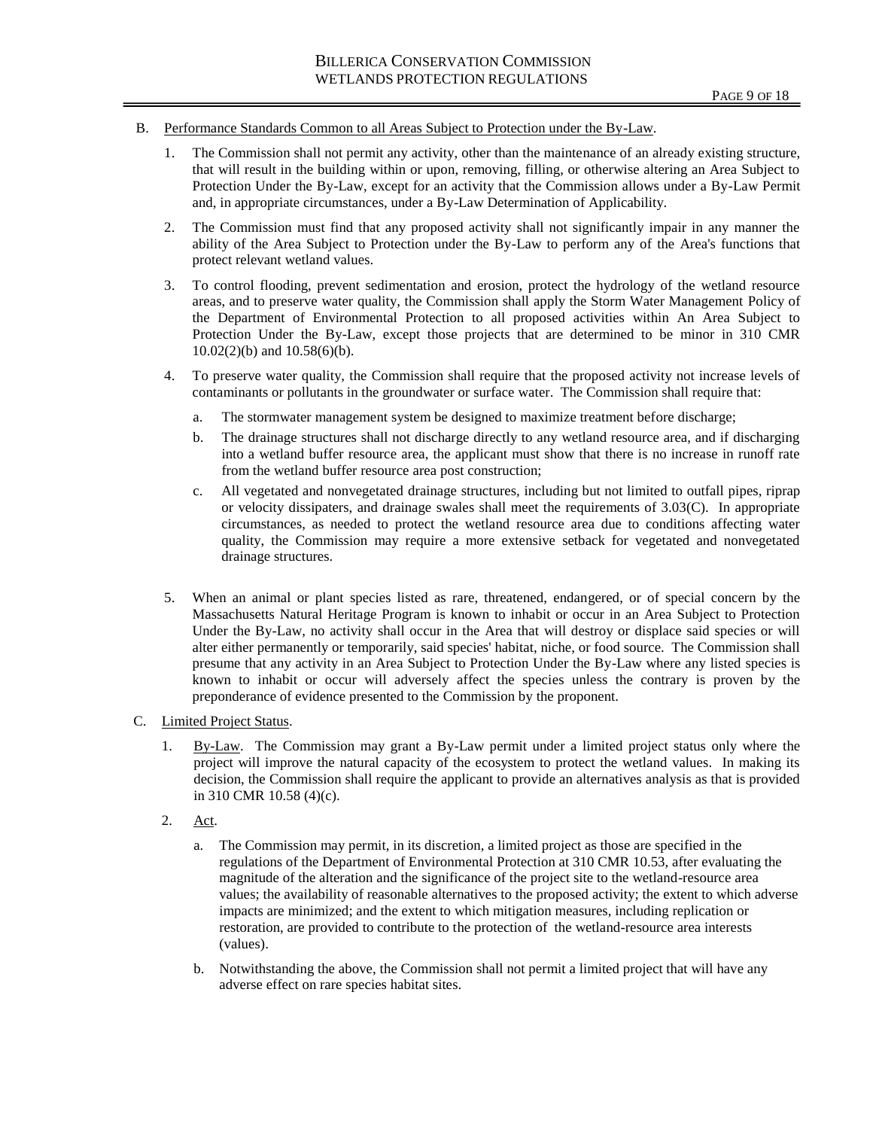- B. Performance Standards Common to all Areas Subject to Protection under the By-Law.
	- 1. The Commission shall not permit any activity, other than the maintenance of an already existing structure, that will result in the building within or upon, removing, filling, or otherwise altering an Area Subject to Protection Under the By-Law, except for an activity that the Commission allows under a By-Law Permit and, in appropriate circumstances, under a By-Law Determination of Applicability.
	- 2. The Commission must find that any proposed activity shall not significantly impair in any manner the ability of the Area Subject to Protection under the By-Law to perform any of the Area's functions that protect relevant wetland values.
	- 3. To control flooding, prevent sedimentation and erosion, protect the hydrology of the wetland resource areas, and to preserve water quality, the Commission shall apply the Storm Water Management Policy of the Department of Environmental Protection to all proposed activities within An Area Subject to Protection Under the By-Law, except those projects that are determined to be minor in 310 CMR 10.02(2)(b) and 10.58(6)(b).
	- 4. To preserve water quality, the Commission shall require that the proposed activity not increase levels of contaminants or pollutants in the groundwater or surface water. The Commission shall require that:
		- a. The stormwater management system be designed to maximize treatment before discharge;
		- b. The drainage structures shall not discharge directly to any wetland resource area, and if discharging into a wetland buffer resource area, the applicant must show that there is no increase in runoff rate from the wetland buffer resource area post construction;
		- c. All vegetated and nonvegetated drainage structures, including but not limited to outfall pipes, riprap or velocity dissipaters, and drainage swales shall meet the requirements of 3.03(C). In appropriate circumstances, as needed to protect the wetland resource area due to conditions affecting water quality, the Commission may require a more extensive setback for vegetated and nonvegetated drainage structures.
	- 5. When an animal or plant species listed as rare, threatened, endangered, or of special concern by the Massachusetts Natural Heritage Program is known to inhabit or occur in an Area Subject to Protection Under the By-Law, no activity shall occur in the Area that will destroy or displace said species or will alter either permanently or temporarily, said species' habitat, niche, or food source. The Commission shall presume that any activity in an Area Subject to Protection Under the By-Law where any listed species is known to inhabit or occur will adversely affect the species unless the contrary is proven by the preponderance of evidence presented to the Commission by the proponent.
- C. Limited Project Status.
	- 1. By-Law. The Commission may grant a By-Law permit under a limited project status only where the project will improve the natural capacity of the ecosystem to protect the wetland values. In making its decision, the Commission shall require the applicant to provide an alternatives analysis as that is provided in 310 CMR 10.58 (4)(c).
	- 2. Act.
		- a. The Commission may permit, in its discretion, a limited project as those are specified in the regulations of the Department of Environmental Protection at 310 CMR 10.53, after evaluating the magnitude of the alteration and the significance of the project site to the wetland-resource area values; the availability of reasonable alternatives to the proposed activity; the extent to which adverse impacts are minimized; and the extent to which mitigation measures, including replication or restoration, are provided to contribute to the protection of the wetland-resource area interests (values).
		- b. Notwithstanding the above, the Commission shall not permit a limited project that will have any adverse effect on rare species habitat sites.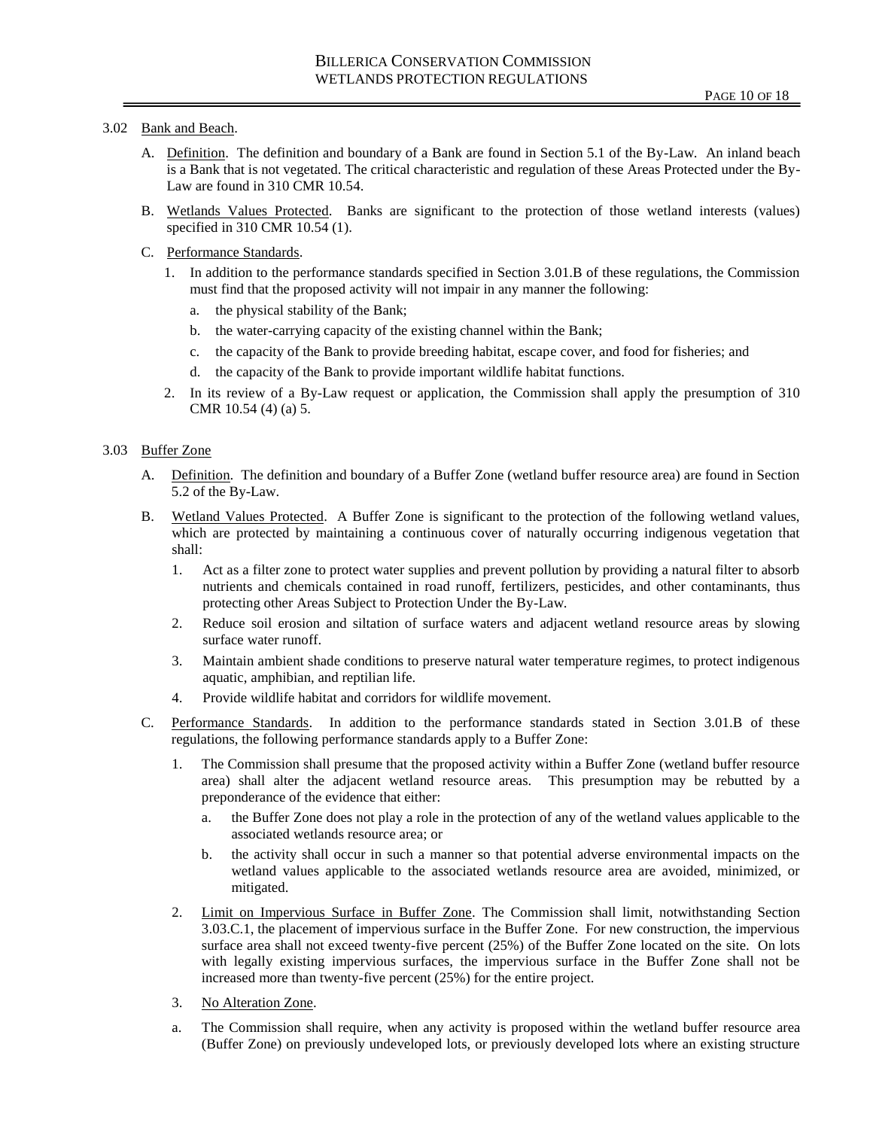## 3.02 Bank and Beach.

- A. Definition. The definition and boundary of a Bank are found in Section 5.1 of the By-Law. An inland beach is a Bank that is not vegetated. The critical characteristic and regulation of these Areas Protected under the By-Law are found in 310 CMR 10.54.
- B. Wetlands Values Protected. Banks are significant to the protection of those wetland interests (values) specified in 310 CMR 10.54 (1).
- C. Performance Standards.
	- 1. In addition to the performance standards specified in Section 3.01.B of these regulations, the Commission must find that the proposed activity will not impair in any manner the following:
		- a. the physical stability of the Bank;
		- b. the water-carrying capacity of the existing channel within the Bank;
		- c. the capacity of the Bank to provide breeding habitat, escape cover, and food for fisheries; and
		- d. the capacity of the Bank to provide important wildlife habitat functions.
	- 2. In its review of a By-Law request or application, the Commission shall apply the presumption of 310 CMR 10.54 (4) (a) 5.

### 3.03 Buffer Zone

- A. Definition. The definition and boundary of a Buffer Zone (wetland buffer resource area) are found in Section 5.2 of the By-Law.
- B. Wetland Values Protected. A Buffer Zone is significant to the protection of the following wetland values, which are protected by maintaining a continuous cover of naturally occurring indigenous vegetation that shall:
	- 1. Act as a filter zone to protect water supplies and prevent pollution by providing a natural filter to absorb nutrients and chemicals contained in road runoff, fertilizers, pesticides, and other contaminants, thus protecting other Areas Subject to Protection Under the By-Law.
	- 2. Reduce soil erosion and siltation of surface waters and adjacent wetland resource areas by slowing surface water runoff.
	- 3. Maintain ambient shade conditions to preserve natural water temperature regimes, to protect indigenous aquatic, amphibian, and reptilian life.
	- 4. Provide wildlife habitat and corridors for wildlife movement.
- C. Performance Standards. In addition to the performance standards stated in Section 3.01.B of these regulations, the following performance standards apply to a Buffer Zone:
	- 1. The Commission shall presume that the proposed activity within a Buffer Zone (wetland buffer resource area) shall alter the adjacent wetland resource areas. This presumption may be rebutted by a preponderance of the evidence that either:
		- a. the Buffer Zone does not play a role in the protection of any of the wetland values applicable to the associated wetlands resource area; or
		- b. the activity shall occur in such a manner so that potential adverse environmental impacts on the wetland values applicable to the associated wetlands resource area are avoided, minimized, or mitigated.
	- 2. Limit on Impervious Surface in Buffer Zone. The Commission shall limit, notwithstanding Section 3.03.C.1, the placement of impervious surface in the Buffer Zone. For new construction, the impervious surface area shall not exceed twenty-five percent (25%) of the Buffer Zone located on the site. On lots with legally existing impervious surfaces, the impervious surface in the Buffer Zone shall not be increased more than twenty-five percent (25%) for the entire project.
	- 3. No Alteration Zone.
	- a. The Commission shall require, when any activity is proposed within the wetland buffer resource area (Buffer Zone) on previously undeveloped lots, or previously developed lots where an existing structure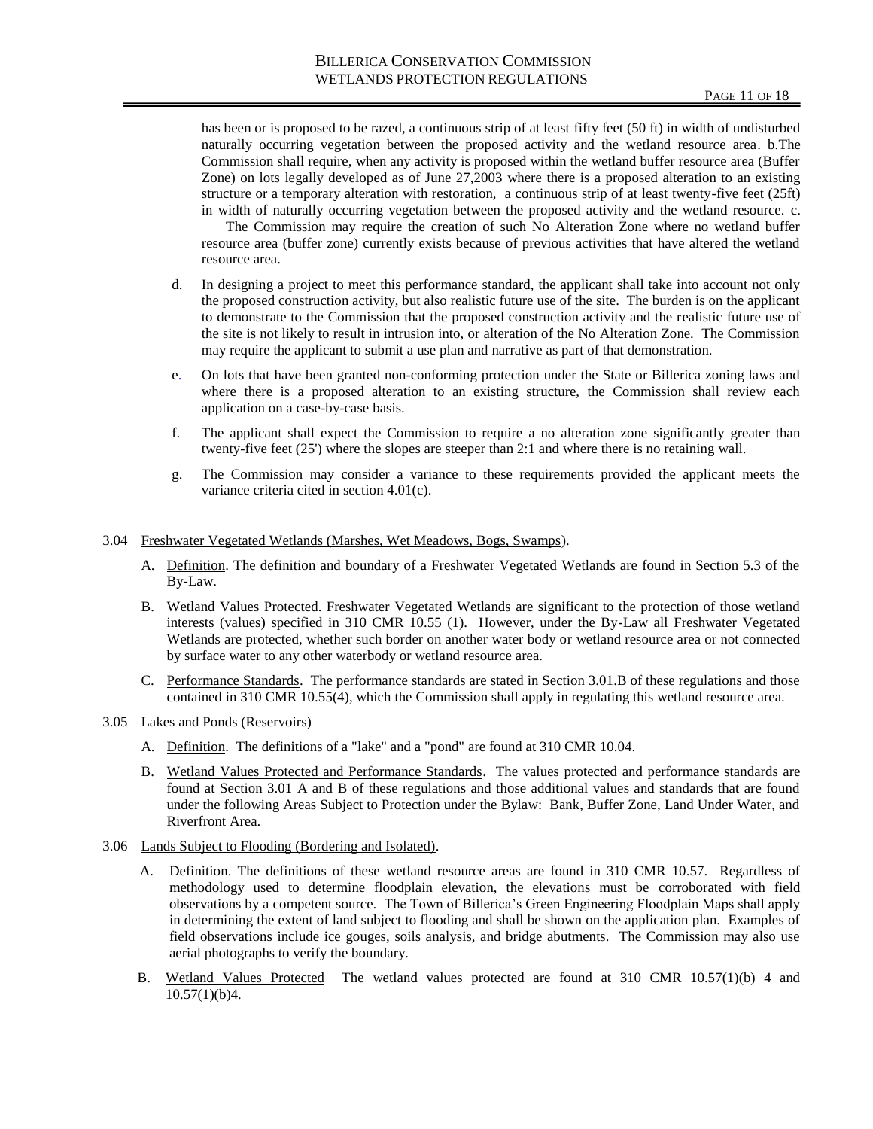has been or is proposed to be razed, a continuous strip of at least fifty feet (50 ft) in width of undisturbed naturally occurring vegetation between the proposed activity and the wetland resource area. b.The Commission shall require, when any activity is proposed within the wetland buffer resource area (Buffer Zone) on lots legally developed as of June 27,2003 where there is a proposed alteration to an existing structure or a temporary alteration with restoration, a continuous strip of at least twenty-five feet (25ft) in width of naturally occurring vegetation between the proposed activity and the wetland resource. c.

The Commission may require the creation of such No Alteration Zone where no wetland buffer resource area (buffer zone) currently exists because of previous activities that have altered the wetland resource area.

- d. In designing a project to meet this performance standard, the applicant shall take into account not only the proposed construction activity, but also realistic future use of the site. The burden is on the applicant to demonstrate to the Commission that the proposed construction activity and the realistic future use of the site is not likely to result in intrusion into, or alteration of the No Alteration Zone. The Commission may require the applicant to submit a use plan and narrative as part of that demonstration.
- e. On lots that have been granted non-conforming protection under the State or Billerica zoning laws and where there is a proposed alteration to an existing structure, the Commission shall review each application on a case-by-case basis.
- f. The applicant shall expect the Commission to require a no alteration zone significantly greater than twenty-five feet (25') where the slopes are steeper than 2:1 and where there is no retaining wall.
- g. The Commission may consider a variance to these requirements provided the applicant meets the variance criteria cited in section 4.01(c).

3.04 Freshwater Vegetated Wetlands (Marshes, Wet Meadows, Bogs, Swamps).

- A. Definition. The definition and boundary of a Freshwater Vegetated Wetlands are found in Section 5.3 of the By-Law.
- B. Wetland Values Protected. Freshwater Vegetated Wetlands are significant to the protection of those wetland interests (values) specified in 310 CMR 10.55 (1). However, under the By-Law all Freshwater Vegetated Wetlands are protected, whether such border on another water body or wetland resource area or not connected by surface water to any other waterbody or wetland resource area.
- C. Performance Standards. The performance standards are stated in Section 3.01.B of these regulations and those contained in 310 CMR 10.55(4), which the Commission shall apply in regulating this wetland resource area.
- 3.05 Lakes and Ponds (Reservoirs)
	- A. Definition. The definitions of a "lake" and a "pond" are found at 310 CMR 10.04.
	- B. Wetland Values Protected and Performance Standards. The values protected and performance standards are found at Section 3.01 A and B of these regulations and those additional values and standards that are found under the following Areas Subject to Protection under the Bylaw: Bank, Buffer Zone, Land Under Water, and Riverfront Area.
- 3.06 Lands Subject to Flooding (Bordering and Isolated).
	- A. Definition. The definitions of these wetland resource areas are found in 310 CMR 10.57. Regardless of methodology used to determine floodplain elevation, the elevations must be corroborated with field observations by a competent source. The Town of Billerica's Green Engineering Floodplain Maps shall apply in determining the extent of land subject to flooding and shall be shown on the application plan. Examples of field observations include ice gouges, soils analysis, and bridge abutments. The Commission may also use aerial photographs to verify the boundary.
	- B. Wetland Values Protected The wetland values protected are found at 310 CMR 10.57(1)(b) 4 and 10.57(1)(b)4.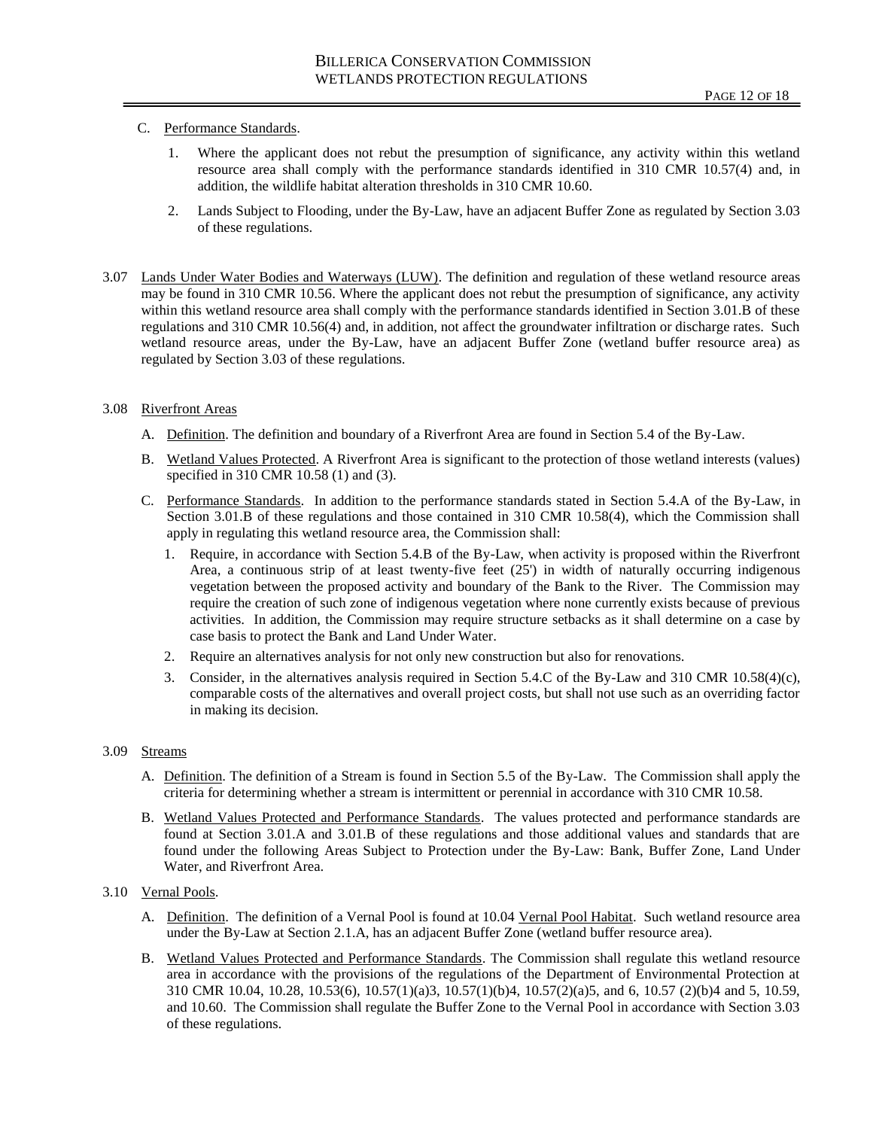# C. Performance Standards.

- 1. Where the applicant does not rebut the presumption of significance, any activity within this wetland resource area shall comply with the performance standards identified in 310 CMR 10.57(4) and, in addition, the wildlife habitat alteration thresholds in 310 CMR 10.60.
- 2. Lands Subject to Flooding, under the By-Law, have an adjacent Buffer Zone as regulated by Section 3.03 of these regulations.
- 3.07 Lands Under Water Bodies and Waterways (LUW). The definition and regulation of these wetland resource areas may be found in 310 CMR 10.56. Where the applicant does not rebut the presumption of significance, any activity within this wetland resource area shall comply with the performance standards identified in Section 3.01.B of these regulations and 310 CMR 10.56(4) and, in addition, not affect the groundwater infiltration or discharge rates. Such wetland resource areas, under the By-Law, have an adjacent Buffer Zone (wetland buffer resource area) as regulated by Section 3.03 of these regulations.

# 3.08 Riverfront Areas

- A. Definition. The definition and boundary of a Riverfront Area are found in Section 5.4 of the By-Law.
- B. Wetland Values Protected. A Riverfront Area is significant to the protection of those wetland interests (values) specified in 310 CMR 10.58 (1) and (3).
- C. Performance Standards. In addition to the performance standards stated in Section 5.4.A of the By-Law, in Section 3.01.B of these regulations and those contained in 310 CMR 10.58(4), which the Commission shall apply in regulating this wetland resource area, the Commission shall:
	- 1. Require, in accordance with Section 5.4.B of the By-Law, when activity is proposed within the Riverfront Area, a continuous strip of at least twenty-five feet (25') in width of naturally occurring indigenous vegetation between the proposed activity and boundary of the Bank to the River. The Commission may require the creation of such zone of indigenous vegetation where none currently exists because of previous activities. In addition, the Commission may require structure setbacks as it shall determine on a case by case basis to protect the Bank and Land Under Water.
	- 2. Require an alternatives analysis for not only new construction but also for renovations.
	- 3. Consider, in the alternatives analysis required in Section 5.4.C of the By-Law and 310 CMR 10.58(4)(c), comparable costs of the alternatives and overall project costs, but shall not use such as an overriding factor in making its decision.

# 3.09 Streams

- A. Definition. The definition of a Stream is found in Section 5.5 of the By-Law. The Commission shall apply the criteria for determining whether a stream is intermittent or perennial in accordance with 310 CMR 10.58.
- B. Wetland Values Protected and Performance Standards. The values protected and performance standards are found at Section 3.01.A and 3.01.B of these regulations and those additional values and standards that are found under the following Areas Subject to Protection under the By-Law: Bank, Buffer Zone, Land Under Water, and Riverfront Area.

## 3.10 Vernal Pools.

- A. Definition. The definition of a Vernal Pool is found at 10.04 Vernal Pool Habitat. Such wetland resource area under the By-Law at Section 2.1.A, has an adjacent Buffer Zone (wetland buffer resource area).
- B. Wetland Values Protected and Performance Standards. The Commission shall regulate this wetland resource area in accordance with the provisions of the regulations of the Department of Environmental Protection at 310 CMR 10.04, 10.28, 10.53(6), 10.57(1)(a)3, 10.57(1)(b)4, 10.57(2)(a)5, and 6, 10.57 (2)(b)4 and 5, 10.59, and 10.60. The Commission shall regulate the Buffer Zone to the Vernal Pool in accordance with Section 3.03 of these regulations.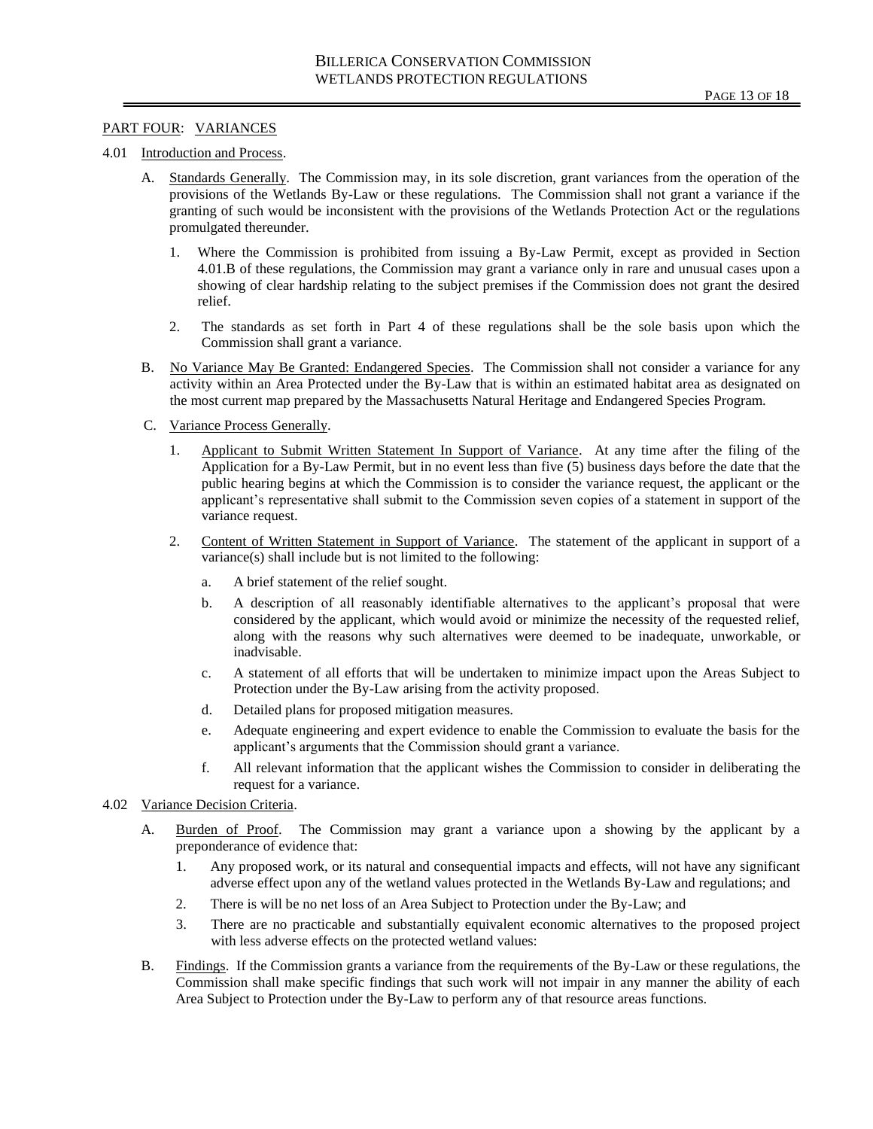### PART FOUR: VARIANCES

#### 4.01 Introduction and Process.

- A. Standards Generally. The Commission may, in its sole discretion, grant variances from the operation of the provisions of the Wetlands By-Law or these regulations. The Commission shall not grant a variance if the granting of such would be inconsistent with the provisions of the Wetlands Protection Act or the regulations promulgated thereunder.
	- 1. Where the Commission is prohibited from issuing a By-Law Permit, except as provided in Section 4.01.B of these regulations, the Commission may grant a variance only in rare and unusual cases upon a showing of clear hardship relating to the subject premises if the Commission does not grant the desired relief.
	- 2. The standards as set forth in Part 4 of these regulations shall be the sole basis upon which the Commission shall grant a variance.
- B. No Variance May Be Granted: Endangered Species. The Commission shall not consider a variance for any activity within an Area Protected under the By-Law that is within an estimated habitat area as designated on the most current map prepared by the Massachusetts Natural Heritage and Endangered Species Program.
- C. Variance Process Generally.
	- 1. Applicant to Submit Written Statement In Support of Variance. At any time after the filing of the Application for a By-Law Permit, but in no event less than five (5) business days before the date that the public hearing begins at which the Commission is to consider the variance request, the applicant or the applicant's representative shall submit to the Commission seven copies of a statement in support of the variance request.
	- 2. Content of Written Statement in Support of Variance. The statement of the applicant in support of a variance(s) shall include but is not limited to the following:
		- a. A brief statement of the relief sought.
		- b. A description of all reasonably identifiable alternatives to the applicant's proposal that were considered by the applicant, which would avoid or minimize the necessity of the requested relief, along with the reasons why such alternatives were deemed to be inadequate, unworkable, or inadvisable.
		- c. A statement of all efforts that will be undertaken to minimize impact upon the Areas Subject to Protection under the By-Law arising from the activity proposed.
		- d. Detailed plans for proposed mitigation measures.
		- e. Adequate engineering and expert evidence to enable the Commission to evaluate the basis for the applicant's arguments that the Commission should grant a variance.
		- f. All relevant information that the applicant wishes the Commission to consider in deliberating the request for a variance.

### 4.02 Variance Decision Criteria.

- A. Burden of Proof. The Commission may grant a variance upon a showing by the applicant by a preponderance of evidence that:
	- 1. Any proposed work, or its natural and consequential impacts and effects, will not have any significant adverse effect upon any of the wetland values protected in the Wetlands By-Law and regulations; and
	- 2. There is will be no net loss of an Area Subject to Protection under the By-Law; and
	- 3. There are no practicable and substantially equivalent economic alternatives to the proposed project with less adverse effects on the protected wetland values:
- B. Findings. If the Commission grants a variance from the requirements of the By-Law or these regulations, the Commission shall make specific findings that such work will not impair in any manner the ability of each Area Subject to Protection under the By-Law to perform any of that resource areas functions.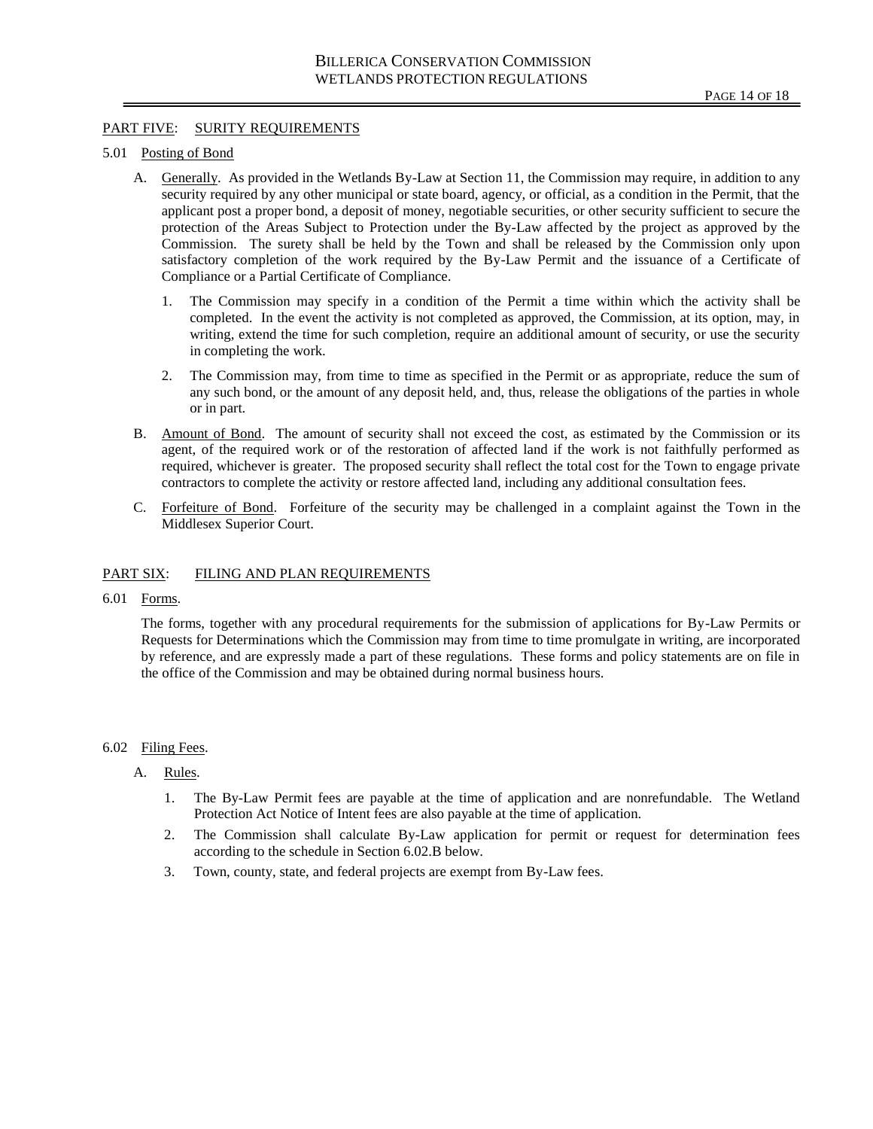### PART FIVE: SURITY REQUIREMENTS

#### 5.01 Posting of Bond

- A. Generally. As provided in the Wetlands By-Law at Section 11, the Commission may require, in addition to any security required by any other municipal or state board, agency, or official, as a condition in the Permit, that the applicant post a proper bond, a deposit of money, negotiable securities, or other security sufficient to secure the protection of the Areas Subject to Protection under the By-Law affected by the project as approved by the Commission. The surety shall be held by the Town and shall be released by the Commission only upon satisfactory completion of the work required by the By-Law Permit and the issuance of a Certificate of Compliance or a Partial Certificate of Compliance.
	- 1. The Commission may specify in a condition of the Permit a time within which the activity shall be completed. In the event the activity is not completed as approved, the Commission, at its option, may, in writing, extend the time for such completion, require an additional amount of security, or use the security in completing the work.
	- 2. The Commission may, from time to time as specified in the Permit or as appropriate, reduce the sum of any such bond, or the amount of any deposit held, and, thus, release the obligations of the parties in whole or in part.
- B. Amount of Bond. The amount of security shall not exceed the cost, as estimated by the Commission or its agent, of the required work or of the restoration of affected land if the work is not faithfully performed as required, whichever is greater. The proposed security shall reflect the total cost for the Town to engage private contractors to complete the activity or restore affected land, including any additional consultation fees.
- C. Forfeiture of Bond. Forfeiture of the security may be challenged in a complaint against the Town in the Middlesex Superior Court.

## PART SIX: FILING AND PLAN REQUIREMENTS

6.01 Forms.

The forms, together with any procedural requirements for the submission of applications for By-Law Permits or Requests for Determinations which the Commission may from time to time promulgate in writing, are incorporated by reference, and are expressly made a part of these regulations. These forms and policy statements are on file in the office of the Commission and may be obtained during normal business hours.

#### 6.02 Filing Fees.

### A. Rules.

- 1. The By-Law Permit fees are payable at the time of application and are nonrefundable. The Wetland Protection Act Notice of Intent fees are also payable at the time of application.
- 2. The Commission shall calculate By-Law application for permit or request for determination fees according to the schedule in Section 6.02.B below.
- 3. Town, county, state, and federal projects are exempt from By-Law fees.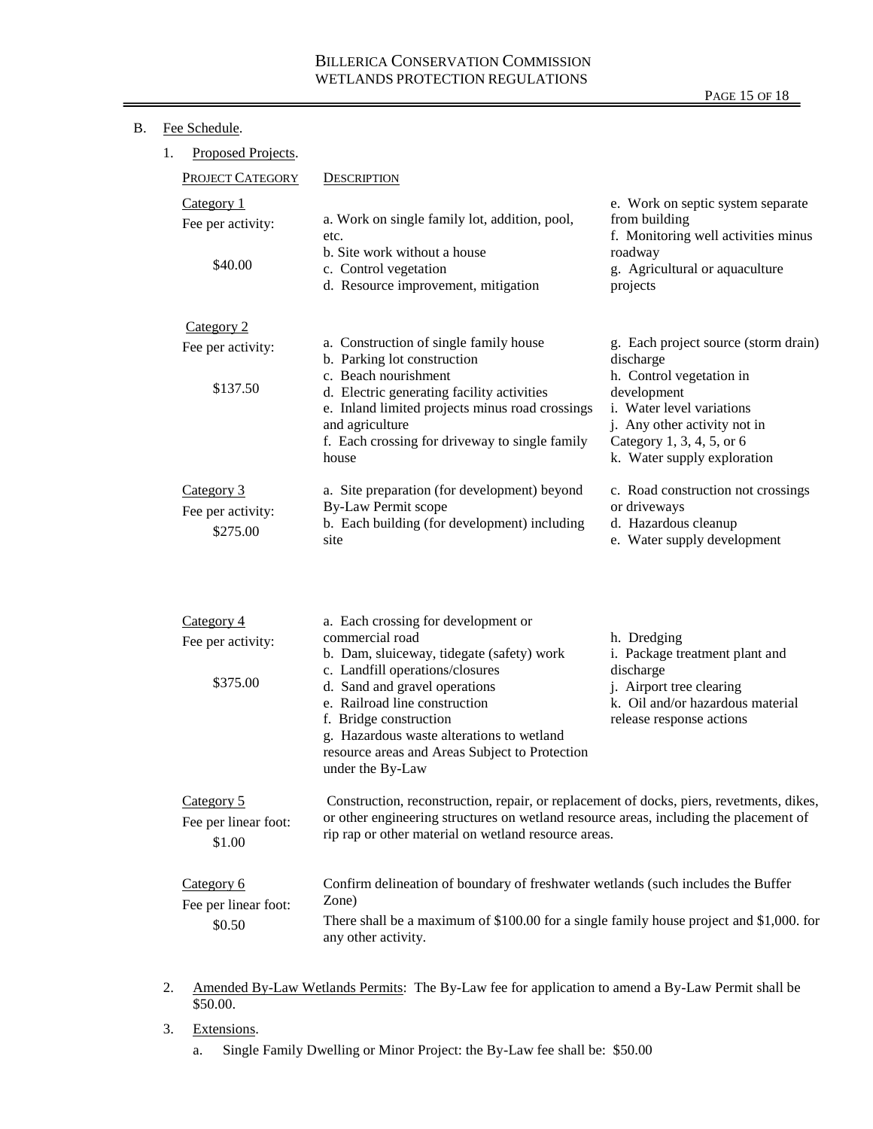|--|

| 1.                                                                                                                                                                                                                                                                                        | Proposed Projects.                          |                                                                                                                                                                                                                                                                                                                |                                                                                                                                                                  |
|-------------------------------------------------------------------------------------------------------------------------------------------------------------------------------------------------------------------------------------------------------------------------------------------|---------------------------------------------|----------------------------------------------------------------------------------------------------------------------------------------------------------------------------------------------------------------------------------------------------------------------------------------------------------------|------------------------------------------------------------------------------------------------------------------------------------------------------------------|
|                                                                                                                                                                                                                                                                                           | <b>PROJECT CATEGORY</b>                     | <b>DESCRIPTION</b>                                                                                                                                                                                                                                                                                             |                                                                                                                                                                  |
|                                                                                                                                                                                                                                                                                           | Category 1<br>Fee per activity:<br>\$40.00  | a. Work on single family lot, addition, pool,<br>etc.<br>b. Site work without a house<br>c. Control vegetation<br>d. Resource improvement, mitigation                                                                                                                                                          | e. Work on septic system separate<br>from building<br>f. Monitoring well activities minus<br>roadway<br>g. Agricultural or aquaculture<br>projects               |
|                                                                                                                                                                                                                                                                                           | Category 2                                  |                                                                                                                                                                                                                                                                                                                |                                                                                                                                                                  |
|                                                                                                                                                                                                                                                                                           | Fee per activity:                           | a. Construction of single family house<br>b. Parking lot construction                                                                                                                                                                                                                                          | g. Each project source (storm drain)<br>discharge                                                                                                                |
|                                                                                                                                                                                                                                                                                           | \$137.50                                    | c. Beach nourishment<br>d. Electric generating facility activities<br>e. Inland limited projects minus road crossings<br>and agriculture<br>f. Each crossing for driveway to single family<br>house                                                                                                            | h. Control vegetation in<br>development<br>i. Water level variations<br>j. Any other activity not in<br>Category 1, 3, 4, 5, or 6<br>k. Water supply exploration |
|                                                                                                                                                                                                                                                                                           | Category 3<br>Fee per activity:<br>\$275.00 | a. Site preparation (for development) beyond<br><b>By-Law Permit scope</b><br>b. Each building (for development) including<br>site                                                                                                                                                                             | c. Road construction not crossings<br>or driveways<br>d. Hazardous cleanup<br>e. Water supply development                                                        |
|                                                                                                                                                                                                                                                                                           | Category 4                                  | a. Each crossing for development or                                                                                                                                                                                                                                                                            |                                                                                                                                                                  |
|                                                                                                                                                                                                                                                                                           | Fee per activity:<br>\$375.00               | commercial road<br>b. Dam, sluiceway, tidegate (safety) work<br>c. Landfill operations/closures<br>d. Sand and gravel operations<br>e. Railroad line construction<br>f. Bridge construction<br>g. Hazardous waste alterations to wetland<br>resource areas and Areas Subject to Protection<br>under the By-Law | h. Dredging<br>i. Package treatment plant and<br>discharge<br>j. Airport tree clearing<br>k. Oil and/or hazardous material<br>release response actions           |
| Category 5<br>Construction, reconstruction, repair, or replacement of docks, piers, revetments, dikes,<br>or other engineering structures on wetland resource areas, including the placement of<br>Fee per linear foot:<br>rip rap or other material on wetland resource areas.<br>\$1.00 |                                             |                                                                                                                                                                                                                                                                                                                |                                                                                                                                                                  |
| Category 6<br>Confirm delineation of boundary of freshwater wetlands (such includes the Buffer<br>Zone)<br>Fee per linear foot:<br>There shall be a maximum of \$100.00 for a single family house project and \$1,000. for<br>\$0.50<br>any other activity.                               |                                             |                                                                                                                                                                                                                                                                                                                |                                                                                                                                                                  |

- 2. Amended By-Law Wetlands Permits: The By-Law fee for application to amend a By-Law Permit shall be \$50.00.
- 3. Extensions.

a. Single Family Dwelling or Minor Project: the By-Law fee shall be: \$50.00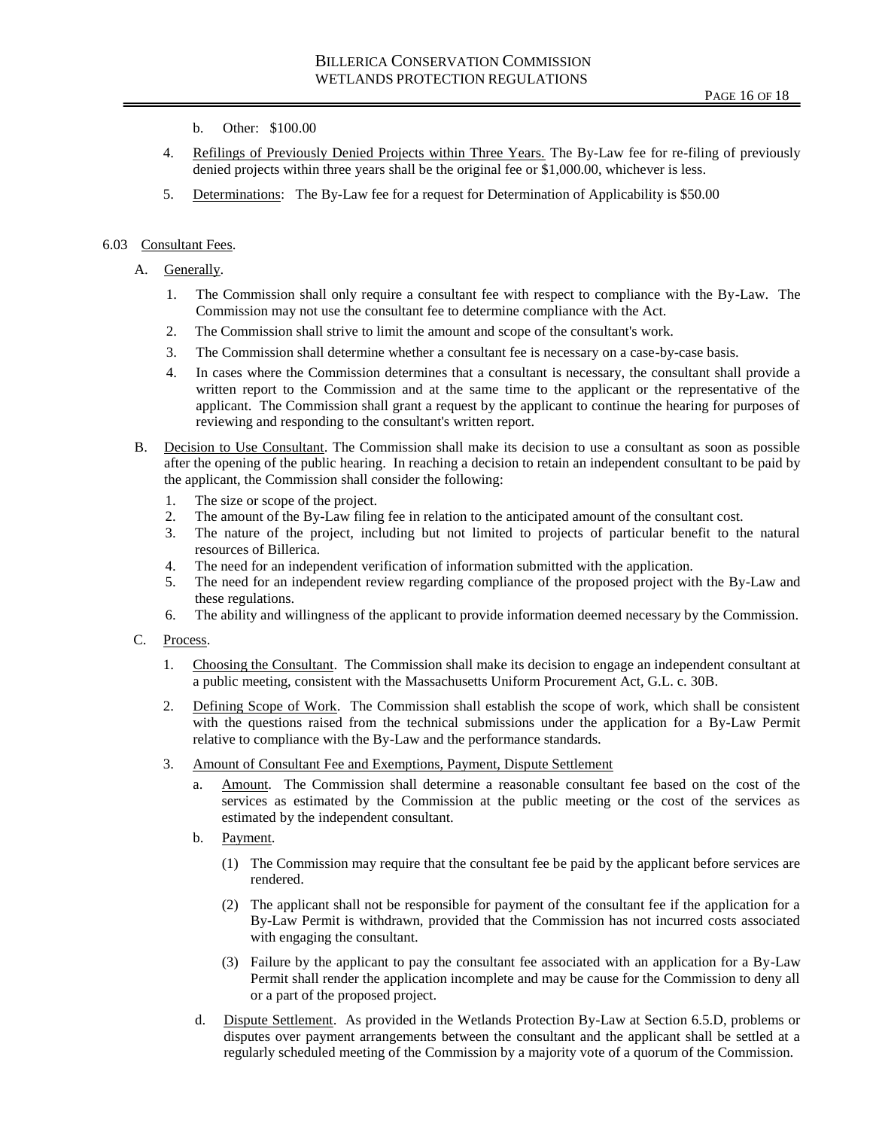- b. Other: \$100.00
- 4. Refilings of Previously Denied Projects within Three Years. The By-Law fee for re-filing of previously denied projects within three years shall be the original fee or \$1,000.00, whichever is less.
- 5. Determinations: The By-Law fee for a request for Determination of Applicability is \$50.00

# 6.03 Consultant Fees.

# A. Generally.

- 1. The Commission shall only require a consultant fee with respect to compliance with the By-Law. The Commission may not use the consultant fee to determine compliance with the Act.
- 2. The Commission shall strive to limit the amount and scope of the consultant's work.
- 3. The Commission shall determine whether a consultant fee is necessary on a case-by-case basis.
- 4. In cases where the Commission determines that a consultant is necessary, the consultant shall provide a written report to the Commission and at the same time to the applicant or the representative of the applicant. The Commission shall grant a request by the applicant to continue the hearing for purposes of reviewing and responding to the consultant's written report.
- B. Decision to Use Consultant. The Commission shall make its decision to use a consultant as soon as possible after the opening of the public hearing. In reaching a decision to retain an independent consultant to be paid by the applicant, the Commission shall consider the following:
	- 1. The size or scope of the project.
	- 2. The amount of the By-Law filing fee in relation to the anticipated amount of the consultant cost.
	- 3. The nature of the project, including but not limited to projects of particular benefit to the natural resources of Billerica.
	- 4. The need for an independent verification of information submitted with the application.
	- 5. The need for an independent review regarding compliance of the proposed project with the By-Law and these regulations.
	- 6. The ability and willingness of the applicant to provide information deemed necessary by the Commission.

## C. Process.

- 1. Choosing the Consultant. The Commission shall make its decision to engage an independent consultant at a public meeting, consistent with the Massachusetts Uniform Procurement Act, G.L. c. 30B.
- 2. Defining Scope of Work. The Commission shall establish the scope of work, which shall be consistent with the questions raised from the technical submissions under the application for a By-Law Permit relative to compliance with the By-Law and the performance standards.
- 3. Amount of Consultant Fee and Exemptions, Payment, Dispute Settlement
	- a. Amount. The Commission shall determine a reasonable consultant fee based on the cost of the services as estimated by the Commission at the public meeting or the cost of the services as estimated by the independent consultant.
	- b. Payment.
		- (1) The Commission may require that the consultant fee be paid by the applicant before services are rendered.
		- (2) The applicant shall not be responsible for payment of the consultant fee if the application for a By-Law Permit is withdrawn, provided that the Commission has not incurred costs associated with engaging the consultant.
		- (3) Failure by the applicant to pay the consultant fee associated with an application for a By-Law Permit shall render the application incomplete and may be cause for the Commission to deny all or a part of the proposed project.
	- d. Dispute Settlement. As provided in the Wetlands Protection By-Law at Section 6.5.D, problems or disputes over payment arrangements between the consultant and the applicant shall be settled at a regularly scheduled meeting of the Commission by a majority vote of a quorum of the Commission.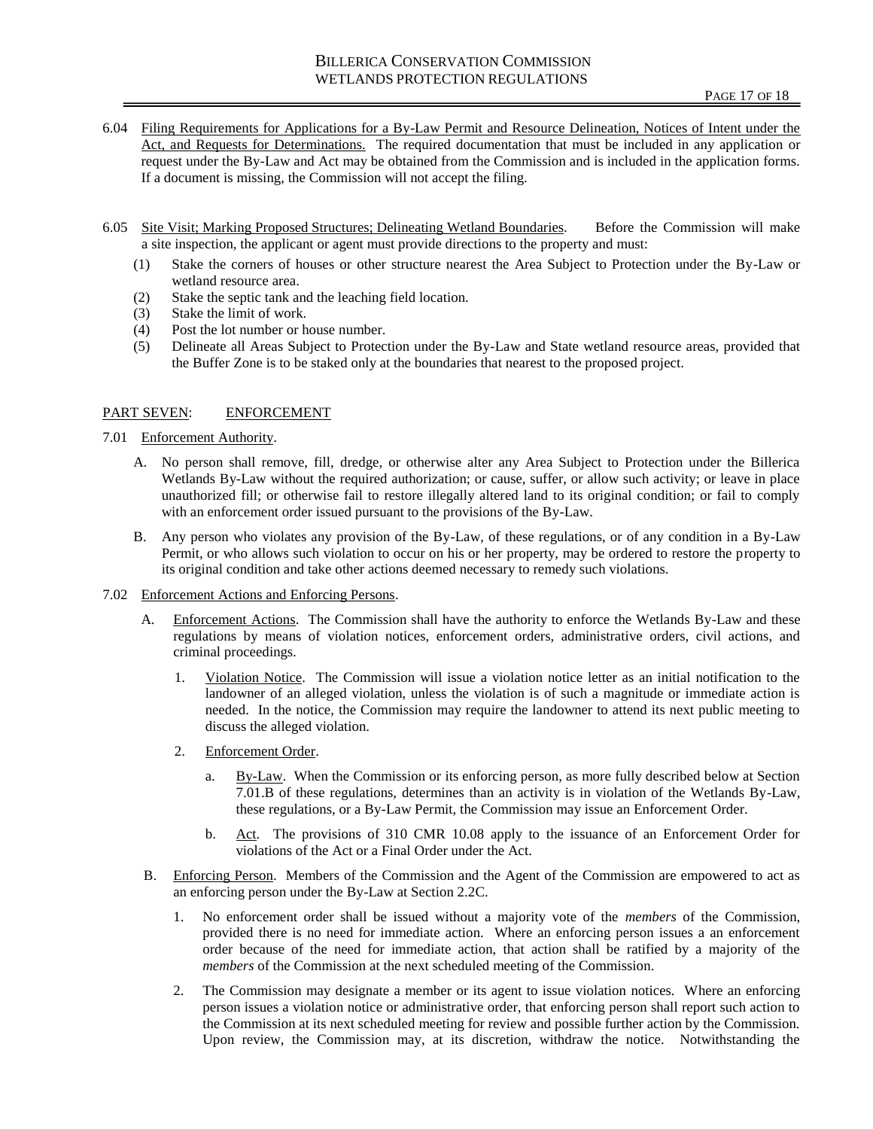- 6.04 Filing Requirements for Applications for a By-Law Permit and Resource Delineation, Notices of Intent under the Act, and Requests for Determinations. The required documentation that must be included in any application or request under the By-Law and Act may be obtained from the Commission and is included in the application forms. If a document is missing, the Commission will not accept the filing.
- 6.05 Site Visit; Marking Proposed Structures; Delineating Wetland Boundaries. Before the Commission will make a site inspection, the applicant or agent must provide directions to the property and must:
	- (1) Stake the corners of houses or other structure nearest the Area Subject to Protection under the By-Law or wetland resource area.
	- (2) Stake the septic tank and the leaching field location.
	- (3) Stake the limit of work.
	- (4) Post the lot number or house number.
	- (5) Delineate all Areas Subject to Protection under the By-Law and State wetland resource areas, provided that the Buffer Zone is to be staked only at the boundaries that nearest to the proposed project.

## PART SEVEN: ENFORCEMENT

- 7.01 Enforcement Authority.
	- A. No person shall remove, fill, dredge, or otherwise alter any Area Subject to Protection under the Billerica Wetlands By-Law without the required authorization; or cause, suffer, or allow such activity; or leave in place unauthorized fill; or otherwise fail to restore illegally altered land to its original condition; or fail to comply with an enforcement order issued pursuant to the provisions of the By-Law.
	- B. Any person who violates any provision of the By-Law, of these regulations, or of any condition in a By-Law Permit, or who allows such violation to occur on his or her property, may be ordered to restore the property to its original condition and take other actions deemed necessary to remedy such violations.
- 7.02 Enforcement Actions and Enforcing Persons.
	- A. Enforcement Actions. The Commission shall have the authority to enforce the Wetlands By-Law and these regulations by means of violation notices, enforcement orders, administrative orders, civil actions, and criminal proceedings.
		- 1. Violation Notice. The Commission will issue a violation notice letter as an initial notification to the landowner of an alleged violation, unless the violation is of such a magnitude or immediate action is needed. In the notice, the Commission may require the landowner to attend its next public meeting to discuss the alleged violation.
		- 2. Enforcement Order.
			- a. By-Law. When the Commission or its enforcing person, as more fully described below at Section 7.01.B of these regulations, determines than an activity is in violation of the Wetlands By-Law, these regulations, or a By-Law Permit, the Commission may issue an Enforcement Order.
			- b. Act. The provisions of 310 CMR 10.08 apply to the issuance of an Enforcement Order for violations of the Act or a Final Order under the Act.
	- B. Enforcing Person. Members of the Commission and the Agent of the Commission are empowered to act as an enforcing person under the By-Law at Section 2.2C.
		- 1. No enforcement order shall be issued without a majority vote of the *members* of the Commission, provided there is no need for immediate action. Where an enforcing person issues a an enforcement order because of the need for immediate action, that action shall be ratified by a majority of the *members* of the Commission at the next scheduled meeting of the Commission.
		- 2. The Commission may designate a member or its agent to issue violation notices. Where an enforcing person issues a violation notice or administrative order, that enforcing person shall report such action to the Commission at its next scheduled meeting for review and possible further action by the Commission. Upon review, the Commission may, at its discretion, withdraw the notice. Notwithstanding the